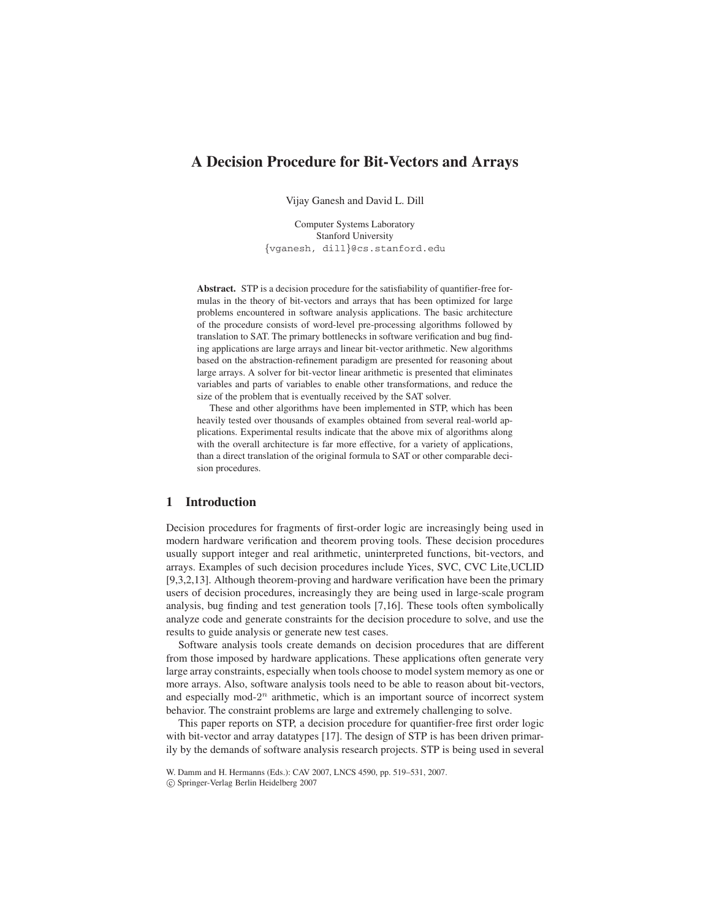# **A Decision Procedure for Bit-Vectors and Arrays**

Vijay Ganesh and David L. Dill

Computer Systems Laboratory Stanford University {vganesh, dill}@cs.stanford.edu

**Abstract.** STP is a decision procedure for the satisfiability of quantifier-free formulas in the theory of bit-vectors and arrays that has been optimized for large problems encountered in software analysis applications. The basic architecture of the procedure consists of word-level pre-processing algorithms followed by translation to SAT. The primary bottlenecks in software verification and bug finding applications are large arrays and linear bit-vector arithmetic. New algorithms based on the abstraction-refinement paradigm are presented for reasoning about large arrays. A solver for bit-vector linear arithmetic is presented that eliminates variables and parts of variables to enable other transformations, and reduce the size of the problem that is eventually received by the SAT solver.

These and other algorithms have been implemented in STP, which has been heavily tested over thousands of examples obtained from several real-world applications. Experimental results indicate that the above mix of algorithms along with the overall architecture is far more effective, for a variety of applications, than a direct translation of the original formula to SAT or other comparable decision procedures.

### **1 Introduction**

Decision procedures for fragments of first-order logic are increasingly being used in modern hardware verification and theorem proving tools. These decision procedures usually support integer and real arithmetic, uninterpreted functions, bit-vectors, and arrays. Examples of such decision procedures include Yices, SVC, CVC Lite,UCLID [9,3,2,13]. Although theorem-proving and hardware verification have been the primary users of decision procedures, increasingly they are being used in large-scale program analysis, bug finding and test generation tools [7,16]. These tools often symbolically analyze code and generate constraints for the decision procedure to solve, and use the results to guide analysis or generate new test cases.

Software analysis tools create demands on decision procedures that are different from those imposed by hardware applications. These applications often generate very large array constraints, especially when tools choose to model system memory as one or more arrays. Also, software analysis tools need to be able to reason about bit-vectors, and especially mod- $2<sup>n</sup>$  arithmetic, which is an important source of incorrect system behavior. The constraint problems are large and extremely challenging to solve.

This paper reports on STP, a decision procedure for quantifier-free first order logic with bit-vector and array datatypes [17]. The design of STP is has been driven primarily by the demands of software analysis research projects. STP is being used in several

W. Damm and H. Hermanns (Eds.): CAV 2007, LNCS 4590, pp. 519–531, 2007.

<sup>-</sup>c Springer-Verlag Berlin Heidelberg 2007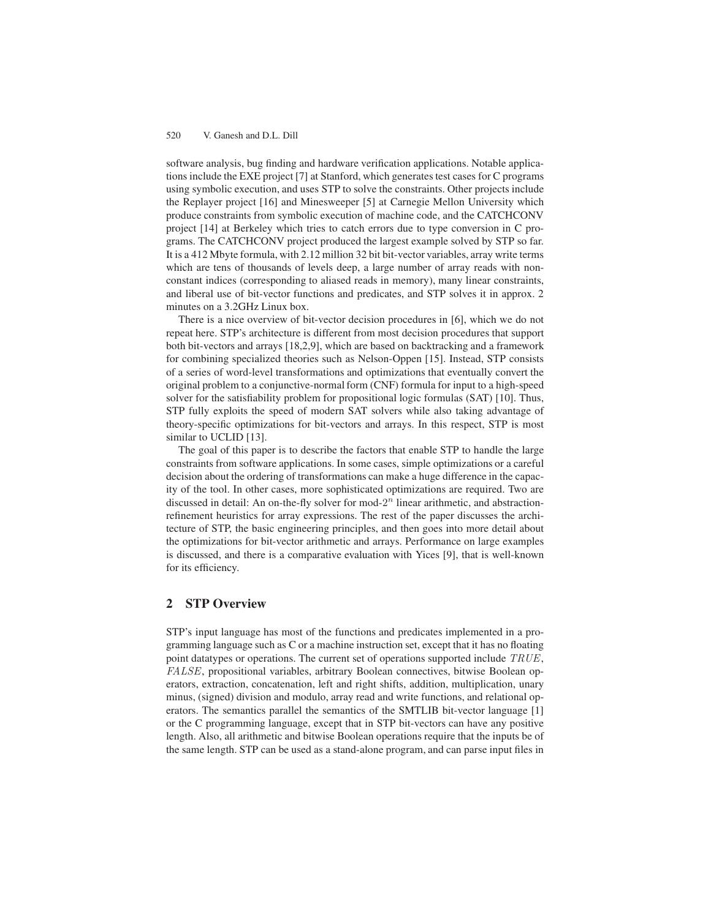software analysis, bug finding and hardware verification applications. Notable applications include the EXE project [7] at Stanford, which generates test cases for C programs using symbolic execution, and uses STP to solve the constraints. Other projects include the Replayer project [16] and Minesweeper [5] at Carnegie Mellon University which produce constraints from symbolic execution of machine code, and the CATCHCONV project [14] at Berkeley which tries to catch errors due to type conversion in C programs. The CATCHCONV project produced the largest example solved by STP so far. It is a 412 Mbyte formula, with 2.12 million 32 bit bit-vector variables, array write terms which are tens of thousands of levels deep, a large number of array reads with nonconstant indices (corresponding to aliased reads in memory), many linear constraints, and liberal use of bit-vector functions and predicates, and STP solves it in approx. 2 minutes on a 3.2GHz Linux box.

There is a nice overview of bit-vector decision procedures in [6], which we do not repeat here. STP's architecture is different from most decision procedures that support both bit-vectors and arrays [18,2,9], which are based on backtracking and a framework for combining specialized theories such as Nelson-Oppen [15]. Instead, STP consists of a series of word-level transformations and optimizations that eventually convert the original problem to a conjunctive-normal form (CNF) formula for input to a high-speed solver for the satisfiability problem for propositional logic formulas (SAT) [10]. Thus, STP fully exploits the speed of modern SAT solvers while also taking advantage of theory-specific optimizations for bit-vectors and arrays. In this respect, STP is most similar to UCLID [13].

The goal of this paper is to describe the factors that enable STP to handle the large constraints from software applications. In some cases, simple optimizations or a careful decision about the ordering of transformations can make a huge difference in the capacity of the tool. In other cases, more sophisticated optimizations are required. Two are discussed in detail: An on-the-fly solver for mod- $2<sup>n</sup>$  linear arithmetic, and abstractionrefinement heuristics for array expressions. The rest of the paper discusses the architecture of STP, the basic engineering principles, and then goes into more detail about the optimizations for bit-vector arithmetic and arrays. Performance on large examples is discussed, and there is a comparative evaluation with Yices [9], that is well-known for its efficiency.

### **2 STP Overview**

STP's input language has most of the functions and predicates implemented in a programming language such as C or a machine instruction set, except that it has no floating point datatypes or operations. The current set of operations supported include TRUE, FALSE, propositional variables, arbitrary Boolean connectives, bitwise Boolean operators, extraction, concatenation, left and right shifts, addition, multiplication, unary minus, (signed) division and modulo, array read and write functions, and relational operators. The semantics parallel the semantics of the SMTLIB bit-vector language [1] or the C programming language, except that in STP bit-vectors can have any positive length. Also, all arithmetic and bitwise Boolean operations require that the inputs be of the same length. STP can be used as a stand-alone program, and can parse input files in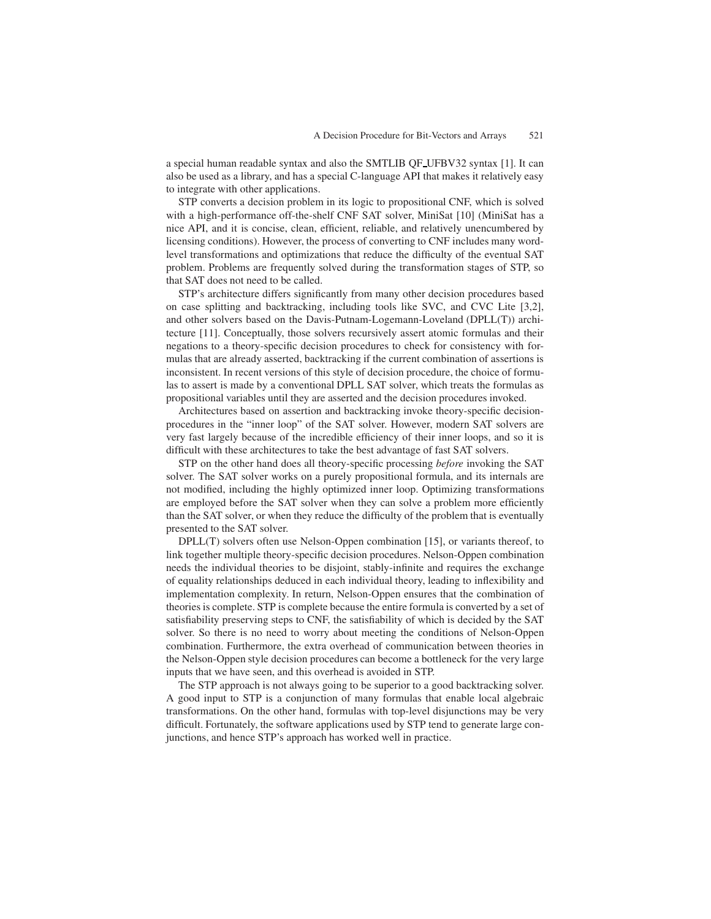a special human readable syntax and also the SMTLIB QF UFBV32 syntax [1]. It can also be used as a library, and has a special C-language API that makes it relatively easy to integrate with other applications.

STP converts a decision problem in its logic to propositional CNF, which is solved with a high-performance off-the-shelf CNF SAT solver, MiniSat [10] (MiniSat has a nice API, and it is concise, clean, efficient, reliable, and relatively unencumbered by licensing conditions). However, the process of converting to CNF includes many wordlevel transformations and optimizations that reduce the difficulty of the eventual SAT problem. Problems are frequently solved during the transformation stages of STP, so that SAT does not need to be called.

STP's architecture differs significantly from many other decision procedures based on case splitting and backtracking, including tools like SVC, and CVC Lite [3,2], and other solvers based on the Davis-Putnam-Logemann-Loveland (DPLL(T)) architecture [11]. Conceptually, those solvers recursively assert atomic formulas and their negations to a theory-specific decision procedures to check for consistency with formulas that are already asserted, backtracking if the current combination of assertions is inconsistent. In recent versions of this style of decision procedure, the choice of formulas to assert is made by a conventional DPLL SAT solver, which treats the formulas as propositional variables until they are asserted and the decision procedures invoked.

Architectures based on assertion and backtracking invoke theory-specific decisionprocedures in the "inner loop" of the SAT solver. However, modern SAT solvers are very fast largely because of the incredible efficiency of their inner loops, and so it is difficult with these architectures to take the best advantage of fast SAT solvers.

STP on the other hand does all theory-specific processing *before* invoking the SAT solver. The SAT solver works on a purely propositional formula, and its internals are not modified, including the highly optimized inner loop. Optimizing transformations are employed before the SAT solver when they can solve a problem more efficiently than the SAT solver, or when they reduce the difficulty of the problem that is eventually presented to the SAT solver.

DPLL(T) solvers often use Nelson-Oppen combination [15], or variants thereof, to link together multiple theory-specific decision procedures. Nelson-Oppen combination needs the individual theories to be disjoint, stably-infinite and requires the exchange of equality relationships deduced in each individual theory, leading to inflexibility and implementation complexity. In return, Nelson-Oppen ensures that the combination of theories is complete. STP is complete because the entire formula is converted by a set of satisfiability preserving steps to CNF, the satisfiability of which is decided by the SAT solver. So there is no need to worry about meeting the conditions of Nelson-Oppen combination. Furthermore, the extra overhead of communication between theories in the Nelson-Oppen style decision procedures can become a bottleneck for the very large inputs that we have seen, and this overhead is avoided in STP.

The STP approach is not always going to be superior to a good backtracking solver. A good input to STP is a conjunction of many formulas that enable local algebraic transformations. On the other hand, formulas with top-level disjunctions may be very difficult. Fortunately, the software applications used by STP tend to generate large conjunctions, and hence STP's approach has worked well in practice.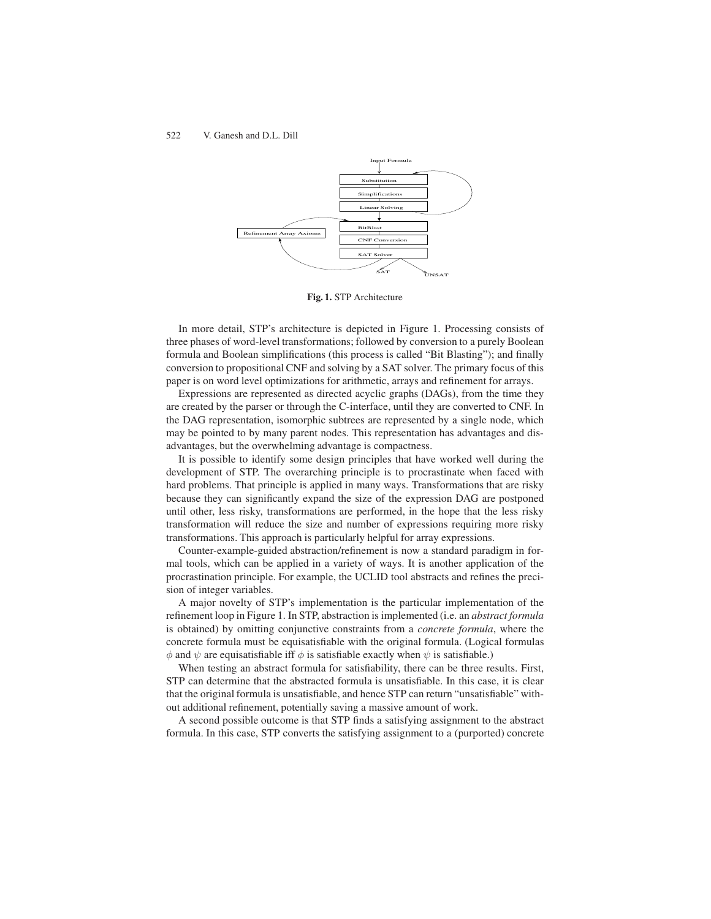

**Fig. 1.** STP Architecture

In more detail, STP's architecture is depicted in Figure 1. Processing consists of three phases of word-level transformations; followed by conversion to a purely Boolean formula and Boolean simplifications (this process is called "Bit Blasting"); and finally conversion to propositional CNF and solving by a SAT solver. The primary focus of this paper is on word level optimizations for arithmetic, arrays and refinement for arrays.

Expressions are represented as directed acyclic graphs (DAGs), from the time they are created by the parser or through the C-interface, until they are converted to CNF. In the DAG representation, isomorphic subtrees are represented by a single node, which may be pointed to by many parent nodes. This representation has advantages and disadvantages, but the overwhelming advantage is compactness.

It is possible to identify some design principles that have worked well during the development of STP. The overarching principle is to procrastinate when faced with hard problems. That principle is applied in many ways. Transformations that are risky because they can significantly expand the size of the expression DAG are postponed until other, less risky, transformations are performed, in the hope that the less risky transformation will reduce the size and number of expressions requiring more risky transformations. This approach is particularly helpful for array expressions.

Counter-example-guided abstraction/refinement is now a standard paradigm in formal tools, which can be applied in a variety of ways. It is another application of the procrastination principle. For example, the UCLID tool abstracts and refines the precision of integer variables.

A major novelty of STP's implementation is the particular implementation of the refinement loop in Figure 1. In STP, abstraction is implemented (i.e. an *abstract formula* is obtained) by omitting conjunctive constraints from a *concrete formula*, where the concrete formula must be equisatisfiable with the original formula. (Logical formulas  $\phi$  and  $\psi$  are equisatisfiable iff  $\phi$  is satisfiable exactly when  $\psi$  is satisfiable.)

When testing an abstract formula for satisfiability, there can be three results. First, STP can determine that the abstracted formula is unsatisfiable. In this case, it is clear that the original formula is unsatisfiable, and hence STP can return "unsatisfiable" without additional refinement, potentially saving a massive amount of work.

A second possible outcome is that STP finds a satisfying assignment to the abstract formula. In this case, STP converts the satisfying assignment to a (purported) concrete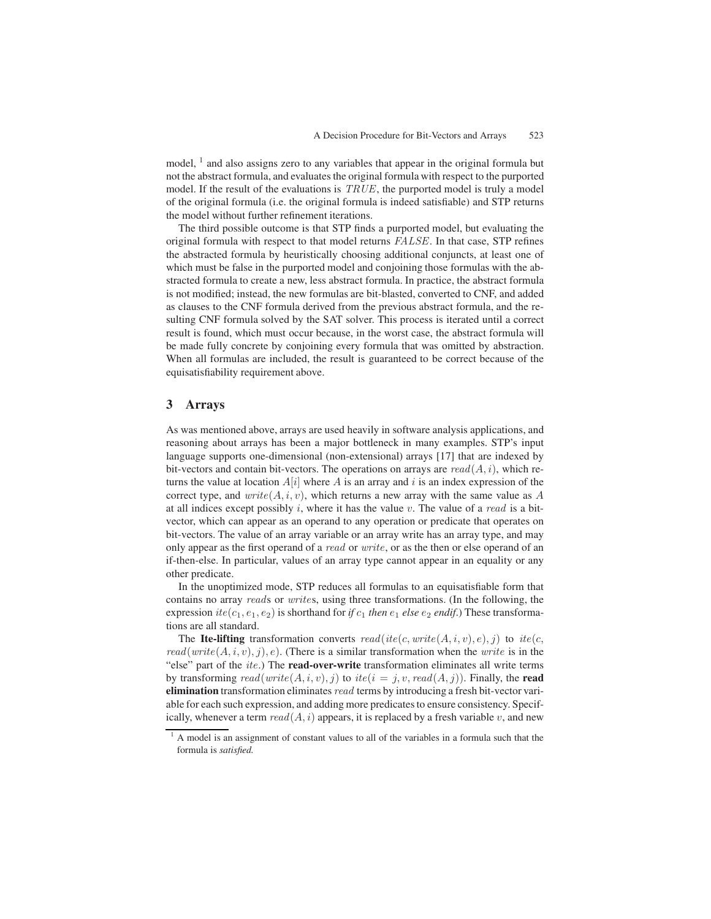model,  $<sup>1</sup>$  and also assigns zero to any variables that appear in the original formula but</sup> not the abstract formula, and evaluates the original formula with respect to the purported model. If the result of the evaluations is  $TRUE$ , the purported model is truly a model of the original formula (i.e. the original formula is indeed satisfiable) and STP returns the model without further refinement iterations.

The third possible outcome is that STP finds a purported model, but evaluating the original formula with respect to that model returns FALSE. In that case, STP refines the abstracted formula by heuristically choosing additional conjuncts, at least one of which must be false in the purported model and conjoining those formulas with the abstracted formula to create a new, less abstract formula. In practice, the abstract formula is not modified; instead, the new formulas are bit-blasted, converted to CNF, and added as clauses to the CNF formula derived from the previous abstract formula, and the resulting CNF formula solved by the SAT solver. This process is iterated until a correct result is found, which must occur because, in the worst case, the abstract formula will be made fully concrete by conjoining every formula that was omitted by abstraction. When all formulas are included, the result is guaranteed to be correct because of the equisatisfiability requirement above.

# **3 Arrays**

As was mentioned above, arrays are used heavily in software analysis applications, and reasoning about arrays has been a major bottleneck in many examples. STP's input language supports one-dimensional (non-extensional) arrays [17] that are indexed by bit-vectors and contain bit-vectors. The operations on arrays are  $read(A, i)$ , which returns the value at location  $A[i]$  where  $A$  is an array and  $i$  is an index expression of the correct type, and  $write(A, i, v)$ , which returns a new array with the same value as A at all indices except possibly i, where it has the value v. The value of a read is a bitvector, which can appear as an operand to any operation or predicate that operates on bit-vectors. The value of an array variable or an array write has an array type, and may only appear as the first operand of a read or write, or as the then or else operand of an if-then-else. In particular, values of an array type cannot appear in an equality or any other predicate.

In the unoptimized mode, STP reduces all formulas to an equisatisfiable form that contains no array reads or writes, using three transformations. (In the following, the expression  $ite(c_1, e_1, e_2)$  is shorthand for *if*  $c_1$  *then*  $e_1$  *else*  $e_2$  *endif*.) These transformations are all standard.

The **Ite-lifting** transformation converts  $read(ite(c, write(A, i, v), e), j)$  to  $ite(c,$ read(write $(A, i, v), j$ ), e). (There is a similar transformation when the write is in the "else" part of the *ite.*) The **read-over-write** transformation eliminates all write terms by transforming  $read(write(A, i, v), j)$  to  $ite(i = j, v, read(A, j))$ . Finally, the **read elimination** transformation eliminates read terms by introducing a fresh bit-vector variable for each such expression, and adding more predicates to ensure consistency. Specifically, whenever a term  $read(A, i)$  appears, it is replaced by a fresh variable v, and new

<sup>&</sup>lt;sup>1</sup> A model is an assignment of constant values to all of the variables in a formula such that the formula is *satisfied.*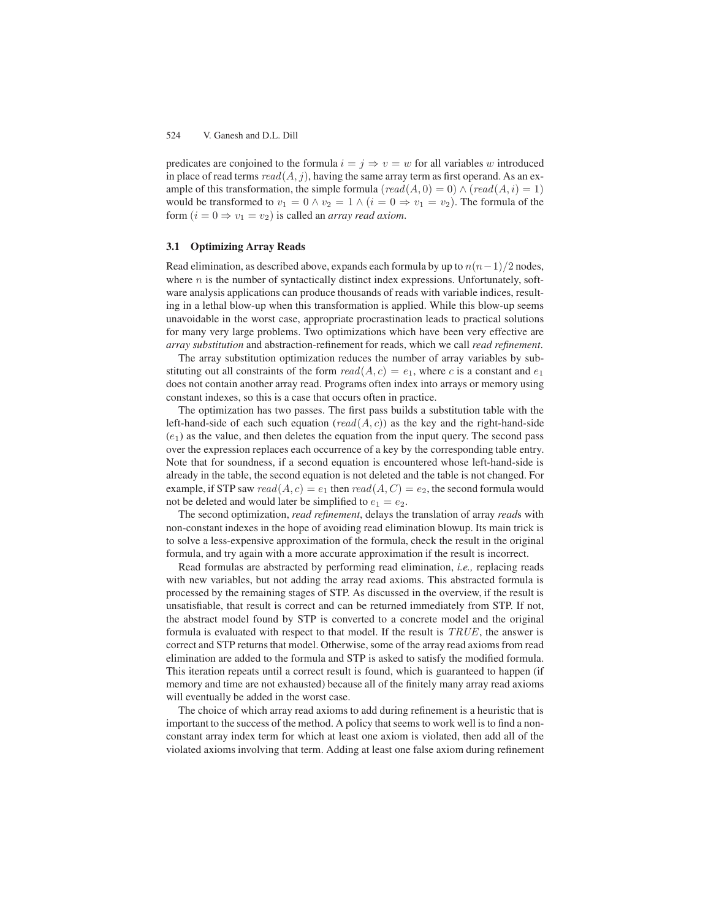predicates are conjoined to the formula  $i = j \Rightarrow v = w$  for all variables w introduced in place of read terms  $read(A, j)$ , having the same array term as first operand. As an example of this transformation, the simple formula ( $read(A, 0) = 0) \wedge (read(A, i) = 1)$ ) would be transformed to  $v_1 = 0 \wedge v_2 = 1 \wedge (i = 0 \Rightarrow v_1 = v_2)$ . The formula of the form  $(i = 0 \Rightarrow v_1 = v_2)$  is called an *array read axiom*.

#### **3.1 Optimizing Array Reads**

Read elimination, as described above, expands each formula by up to  $n(n-1)/2$  nodes, where  $n$  is the number of syntactically distinct index expressions. Unfortunately, software analysis applications can produce thousands of reads with variable indices, resulting in a lethal blow-up when this transformation is applied. While this blow-up seems unavoidable in the worst case, appropriate procrastination leads to practical solutions for many very large problems. Two optimizations which have been very effective are *array substitution* and abstraction-refinement for reads, which we call *read refinement*.

The array substitution optimization reduces the number of array variables by substituting out all constraints of the form  $read(A, c) = e_1$ , where c is a constant and  $e_1$ does not contain another array read. Programs often index into arrays or memory using constant indexes, so this is a case that occurs often in practice.

The optimization has two passes. The first pass builds a substitution table with the left-hand-side of each such equation ( $read(A, c)$ ) as the key and the right-hand-side  $(e_1)$  as the value, and then deletes the equation from the input query. The second pass over the expression replaces each occurrence of a key by the corresponding table entry. Note that for soundness, if a second equation is encountered whose left-hand-side is already in the table, the second equation is not deleted and the table is not changed. For example, if STP saw  $read(A, c) = e_1$  then  $read(A, C) = e_2$ , the second formula would not be deleted and would later be simplified to  $e_1 = e_2$ .

The second optimization, *read refinement*, delays the translation of array *read*s with non-constant indexes in the hope of avoiding read elimination blowup. Its main trick is to solve a less-expensive approximation of the formula, check the result in the original formula, and try again with a more accurate approximation if the result is incorrect.

Read formulas are abstracted by performing read elimination, *i.e.,* replacing reads with new variables, but not adding the array read axioms. This abstracted formula is processed by the remaining stages of STP. As discussed in the overview, if the result is unsatisfiable, that result is correct and can be returned immediately from STP. If not, the abstract model found by STP is converted to a concrete model and the original formula is evaluated with respect to that model. If the result is TRUE, the answer is correct and STP returns that model. Otherwise, some of the array read axioms from read elimination are added to the formula and STP is asked to satisfy the modified formula. This iteration repeats until a correct result is found, which is guaranteed to happen (if memory and time are not exhausted) because all of the finitely many array read axioms will eventually be added in the worst case.

The choice of which array read axioms to add during refinement is a heuristic that is important to the success of the method. A policy that seems to work well is to find a nonconstant array index term for which at least one axiom is violated, then add all of the violated axioms involving that term. Adding at least one false axiom during refinement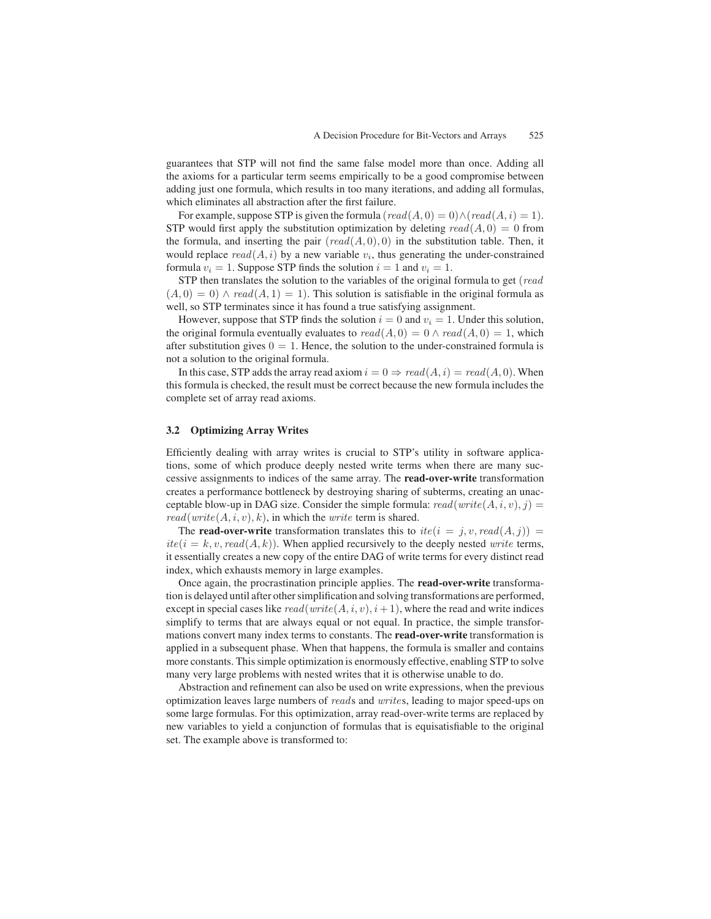guarantees that STP will not find the same false model more than once. Adding all the axioms for a particular term seems empirically to be a good compromise between adding just one formula, which results in too many iterations, and adding all formulas, which eliminates all abstraction after the first failure.

For example, suppose STP is given the formula  $(\text{read}(A, 0) = 0) \land (\text{read}(A, i) = 1)$ . STP would first apply the substitution optimization by deleting  $read(A, 0) = 0$  from the formula, and inserting the pair  $(read(A, 0), 0)$  in the substitution table. Then, it would replace  $read(A, i)$  by a new variable  $v_i$ , thus generating the under-constrained formula  $v_i = 1$ . Suppose STP finds the solution  $i = 1$  and  $v_i = 1$ .

STP then translates the solution to the variables of the original formula to get (read  $(A, 0) = 0$ )  $\wedge \text{read}(A, 1) = 1$ . This solution is satisfiable in the original formula as well, so STP terminates since it has found a true satisfying assignment.

However, suppose that STP finds the solution  $i = 0$  and  $v_i = 1$ . Under this solution, the original formula eventually evaluates to  $read(A, 0) = 0 \land read(A, 0) = 1$ , which after substitution gives  $0=1$ . Hence, the solution to the under-constrained formula is not a solution to the original formula.

In this case, STP adds the array read axiom  $i = 0 \Rightarrow read(A, i) = read(A, 0)$ . When this formula is checked, the result must be correct because the new formula includes the complete set of array read axioms.

#### **3.2 Optimizing Array Writes**

Efficiently dealing with array writes is crucial to STP's utility in software applications, some of which produce deeply nested write terms when there are many successive assignments to indices of the same array. The **read-over-write** transformation creates a performance bottleneck by destroying sharing of subterms, creating an unacceptable blow-up in DAG size. Consider the simple formula:  $read(write(A, i, v), j)$  =  $read(write(A, i, v), k)$ , in which the *write* term is shared.

The **read-over-write** transformation translates this to  $ite(i = j, v, read(A, j))$  $ite(i = k, v, read(A, k))$ . When applied recursively to the deeply nested *write* terms, it essentially creates a new copy of the entire DAG of write terms for every distinct read index, which exhausts memory in large examples.

Once again, the procrastination principle applies. The **read-over-write** transformation is delayed until after other simplification and solving transformations are performed, except in special cases like  $read(write(A, i, v), i + 1)$ , where the read and write indices simplify to terms that are always equal or not equal. In practice, the simple transformations convert many index terms to constants. The **read-over-write** transformation is applied in a subsequent phase. When that happens, the formula is smaller and contains more constants. This simple optimization is enormously effective, enabling STP to solve many very large problems with nested writes that it is otherwise unable to do.

Abstraction and refinement can also be used on write expressions, when the previous optimization leaves large numbers of reads and writes, leading to major speed-ups on some large formulas. For this optimization, array read-over-write terms are replaced by new variables to yield a conjunction of formulas that is equisatisfiable to the original set. The example above is transformed to: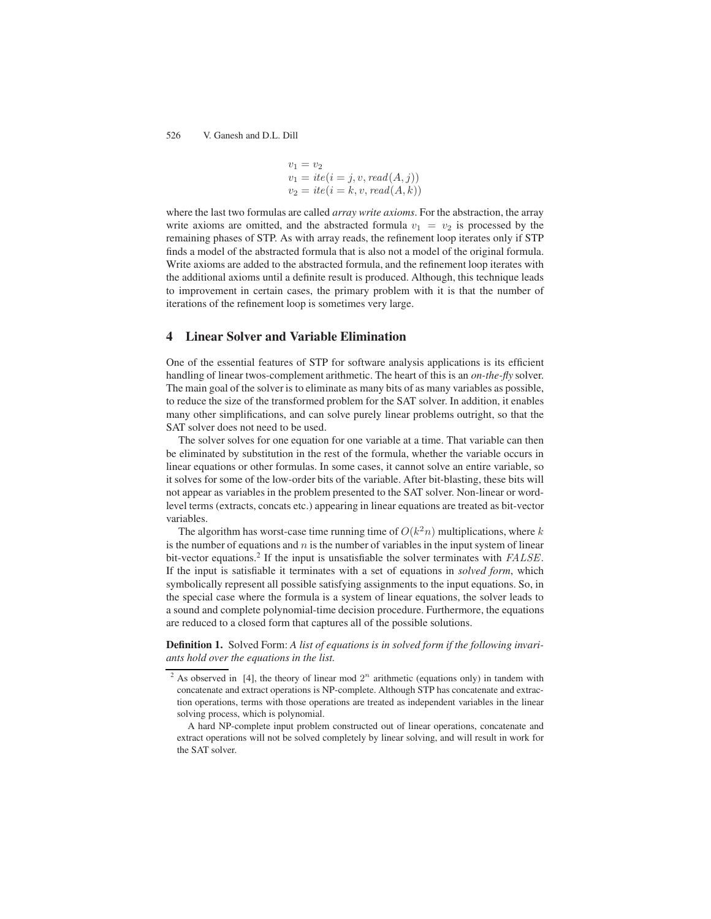$$
v_1 = v_2
$$
  
\n
$$
v_1 = ite(i = j, v, read(A, j))
$$
  
\n
$$
v_2 = ite(i = k, v, read(A, k))
$$

where the last two formulas are called *array write axioms*. For the abstraction, the array write axioms are omitted, and the abstracted formula  $v_1 = v_2$  is processed by the remaining phases of STP. As with array reads, the refinement loop iterates only if STP finds a model of the abstracted formula that is also not a model of the original formula. Write axioms are added to the abstracted formula, and the refinement loop iterates with the additional axioms until a definite result is produced. Although, this technique leads to improvement in certain cases, the primary problem with it is that the number of iterations of the refinement loop is sometimes very large.

# **4 Linear Solver and Variable Elimination**

One of the essential features of STP for software analysis applications is its efficient handling of linear twos-complement arithmetic. The heart of this is an *on-the-fly* solver. The main goal of the solver is to eliminate as many bits of as many variables as possible, to reduce the size of the transformed problem for the SAT solver. In addition, it enables many other simplifications, and can solve purely linear problems outright, so that the SAT solver does not need to be used.

The solver solves for one equation for one variable at a time. That variable can then be eliminated by substitution in the rest of the formula, whether the variable occurs in linear equations or other formulas. In some cases, it cannot solve an entire variable, so it solves for some of the low-order bits of the variable. After bit-blasting, these bits will not appear as variables in the problem presented to the SAT solver. Non-linear or wordlevel terms (extracts, concats etc.) appearing in linear equations are treated as bit-vector variables.

The algorithm has worst-case time running time of  $O(k<sup>2</sup>n)$  multiplications, where k is the number of equations and  $n$  is the number of variables in the input system of linear bit-vector equations.<sup>2</sup> If the input is unsatisfiable the solver terminates with  $FALSE$ . If the input is satisfiable it terminates with a set of equations in *solved form*, which symbolically represent all possible satisfying assignments to the input equations. So, in the special case where the formula is a system of linear equations, the solver leads to a sound and complete polynomial-time decision procedure. Furthermore, the equations are reduced to a closed form that captures all of the possible solutions.

**Definition 1.** Solved Form: *A list of equations is in solved form if the following invariants hold over the equations in the list.*

<sup>&</sup>lt;sup>2</sup> As observed in [4], the theory of linear mod  $2<sup>n</sup>$  arithmetic (equations only) in tandem with concatenate and extract operations is NP-complete. Although STP has concatenate and extraction operations, terms with those operations are treated as independent variables in the linear solving process, which is polynomial.

A hard NP-complete input problem constructed out of linear operations, concatenate and extract operations will not be solved completely by linear solving, and will result in work for the SAT solver.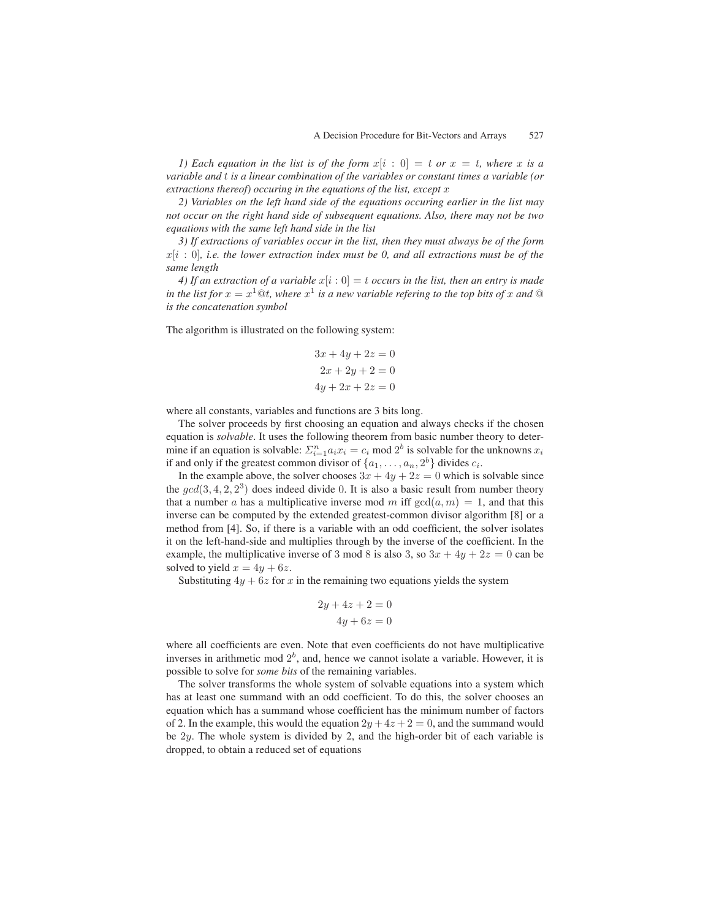*1)* Each equation in the list is of the form  $x[i : 0] = t$  or  $x = t$ , where x is a *variable and* t *is a linear combination of the variables or constant times a variable (or extractions thereof) occuring in the equations of the list, except* x

*2) Variables on the left hand side of the equations occuring earlier in the list may not occur on the right hand side of subsequent equations. Also, there may not be two equations with the same left hand side in the list*

*3) If extractions of variables occur in the list, then they must always be of the form*  $x[i: 0]$ , i.e. the lower extraction index must be 0, and all extractions must be of the *same length*

*4) If an extraction of a variable*  $x[i:0] = t$  *occurs in the list, then an entry is made in the list for*  $x = x^1 @t$ *, where*  $x^1$  *is a new variable refering to the top bits of* x and  $@$ *is the concatenation symbol*

The algorithm is illustrated on the following system:

$$
3x + 4y + 2z = 0
$$

$$
2x + 2y + 2 = 0
$$

$$
4y + 2x + 2z = 0
$$

where all constants, variables and functions are 3 bits long.

The solver proceeds by first choosing an equation and always checks if the chosen equation is *solvable*. It uses the following theorem from basic number theory to determine if an equation is solvable:  $\sum_{i=1}^{n} a_i x_i = c_i \mod 2^b$  is solvable for the unknowns  $x_i$ if and only if the greatest common divisor of  $\{a_1, \ldots, a_n, 2^b\}$  divides  $c_i$ .

In the example above, the solver chooses  $3x + 4y + 2z = 0$  which is solvable since the  $gcd(3, 4, 2, 2^3)$  does indeed divide 0. It is also a basic result from number theory that a number a has a multiplicative inverse mod m iff  $gcd(a, m) = 1$ , and that this inverse can be computed by the extended greatest-common divisor algorithm [8] or a method from [4]. So, if there is a variable with an odd coefficient, the solver isolates it on the left-hand-side and multiplies through by the inverse of the coefficient. In the example, the multiplicative inverse of 3 mod 8 is also 3, so  $3x + 4y + 2z = 0$  can be solved to yield  $x = 4y + 6z$ .

Substituting  $4y + 6z$  for x in the remaining two equations yields the system

$$
2y + 4z + 2 = 0
$$

$$
4y + 6z = 0
$$

where all coefficients are even. Note that even coefficients do not have multiplicative inverses in arithmetic mod  $2<sup>b</sup>$ , and, hence we cannot isolate a variable. However, it is possible to solve for *some bits* of the remaining variables.

The solver transforms the whole system of solvable equations into a system which has at least one summand with an odd coefficient. To do this, the solver chooses an equation which has a summand whose coefficient has the minimum number of factors of 2. In the example, this would the equation  $2y + 4z + 2 = 0$ , and the summand would be  $2y$ . The whole system is divided by 2, and the high-order bit of each variable is dropped, to obtain a reduced set of equations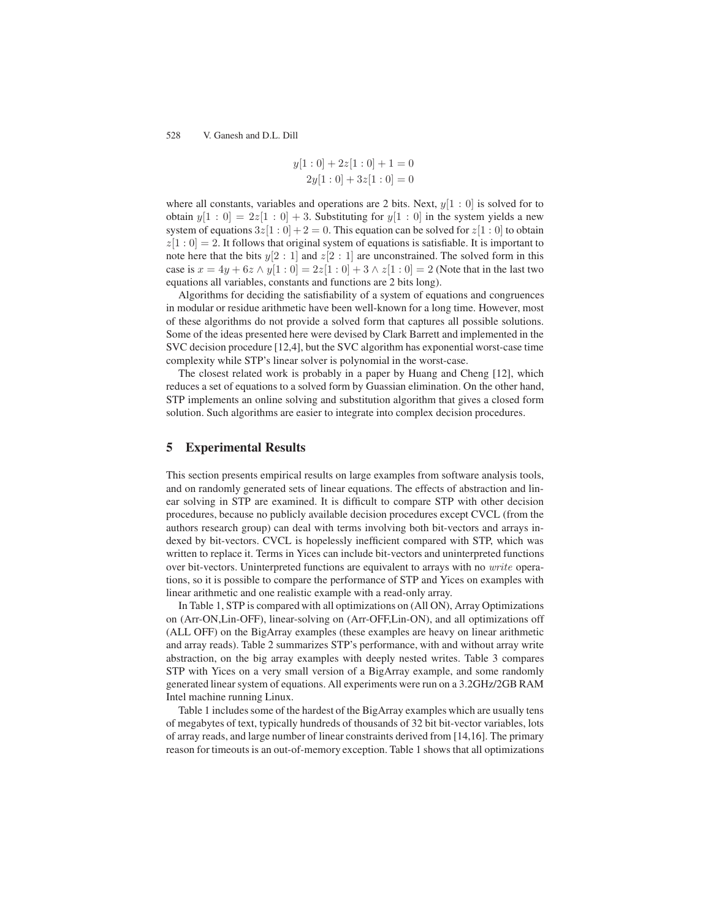$$
y[1:0] + 2z[1:0] + 1 = 0
$$
  

$$
2y[1:0] + 3z[1:0] = 0
$$

where all constants, variables and operations are 2 bits. Next,  $y[1:0]$  is solved for to obtain  $y[1:0] = 2z[1:0] + 3$ . Substituting for  $y[1:0]$  in the system yields a new system of equations  $3z[1:0]+2=0$ . This equation can be solved for  $z[1:0]$  to obtain  $z[1:0] = 2$ . It follows that original system of equations is satisfiable. It is important to note here that the bits  $y[2:1]$  and  $z[2:1]$  are unconstrained. The solved form in this case is  $x = 4y + 6z \wedge y[1:0] = 2z[1:0] + 3 \wedge z[1:0] = 2$  (Note that in the last two equations all variables, constants and functions are 2 bits long).

Algorithms for deciding the satisfiability of a system of equations and congruences in modular or residue arithmetic have been well-known for a long time. However, most of these algorithms do not provide a solved form that captures all possible solutions. Some of the ideas presented here were devised by Clark Barrett and implemented in the SVC decision procedure [12,4], but the SVC algorithm has exponential worst-case time complexity while STP's linear solver is polynomial in the worst-case.

The closest related work is probably in a paper by Huang and Cheng [12], which reduces a set of equations to a solved form by Guassian elimination. On the other hand, STP implements an online solving and substitution algorithm that gives a closed form solution. Such algorithms are easier to integrate into complex decision procedures.

# **5 Experimental Results**

This section presents empirical results on large examples from software analysis tools, and on randomly generated sets of linear equations. The effects of abstraction and linear solving in STP are examined. It is difficult to compare STP with other decision procedures, because no publicly available decision procedures except CVCL (from the authors research group) can deal with terms involving both bit-vectors and arrays indexed by bit-vectors. CVCL is hopelessly inefficient compared with STP, which was written to replace it. Terms in Yices can include bit-vectors and uninterpreted functions over bit-vectors. Uninterpreted functions are equivalent to arrays with no write operations, so it is possible to compare the performance of STP and Yices on examples with linear arithmetic and one realistic example with a read-only array.

In Table 1, STP is compared with all optimizations on (All ON), Array Optimizations on (Arr-ON,Lin-OFF), linear-solving on (Arr-OFF,Lin-ON), and all optimizations off (ALL OFF) on the BigArray examples (these examples are heavy on linear arithmetic and array reads). Table 2 summarizes STP's performance, with and without array write abstraction, on the big array examples with deeply nested writes. Table 3 compares STP with Yices on a very small version of a BigArray example, and some randomly generated linear system of equations. All experiments were run on a 3.2GHz/2GB RAM Intel machine running Linux.

Table 1 includes some of the hardest of the BigArray examples which are usually tens of megabytes of text, typically hundreds of thousands of 32 bit bit-vector variables, lots of array reads, and large number of linear constraints derived from [14,16]. The primary reason for timeouts is an out-of-memory exception. Table 1 shows that all optimizations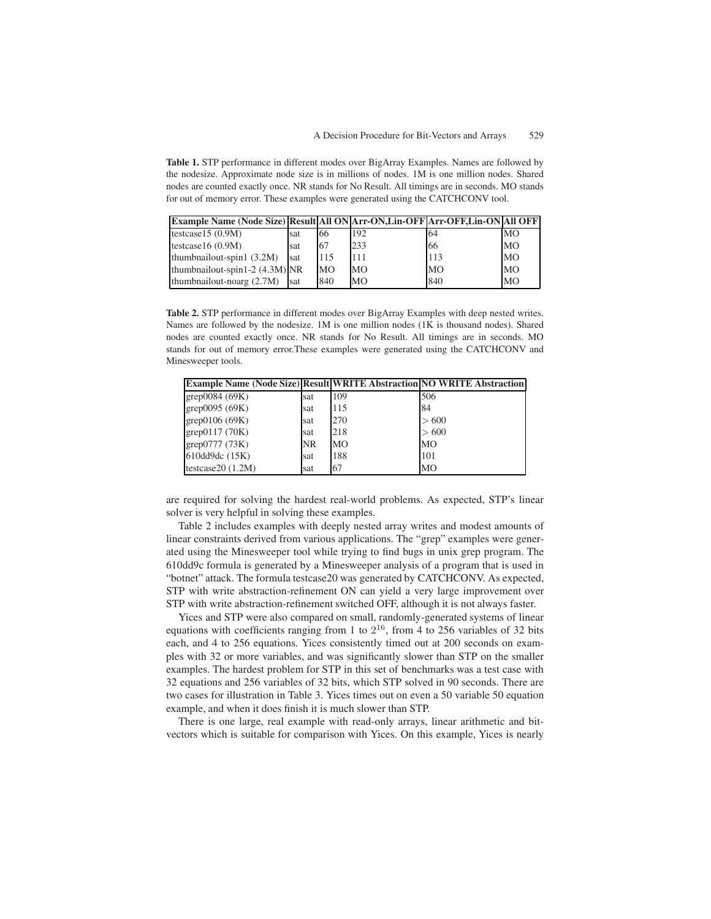**Table 1.** STP performance in different modes over BigArray Examples. Names are followed by the nodesize. Approximate node size is in millions of nodes. 1M is one million nodes. Shared nodes are counted exactly once. NR stands for No Result. All timings are in seconds. MO stands for out of memory error. These examples were generated using the CATCHCONV tool.

| <b>Example Name (Node Size) Result All ON Arr-ON, Lin-OFF Arr-OFF, Lin-ON All OFF</b> |     |           |           |           |           |
|---------------------------------------------------------------------------------------|-----|-----------|-----------|-----------|-----------|
| testcase15 $(0.9M)$                                                                   | sat | 66        | 192       | 64        | МO        |
| testcase16 $(0.9M)$                                                                   | sat | 67        | 233       | 66        | <b>MO</b> |
| thumbnail out-spin $1(3.2M)$                                                          | sat | 115       | 111       | 113       | <b>MO</b> |
| thumbnailout-spin1-2 $(4.3M)$ NR                                                      |     | <b>MO</b> | <b>MO</b> | <b>MO</b> | <b>MO</b> |
| thumbnail out-noarg $(2.7M)$                                                          | sat | 840       | <b>MO</b> | 840       | МO        |

**Table 2.** STP performance in different modes over BigArray Examples with deep nested writes. Names are followed by the nodesize. 1M is one million nodes (1K is thousand nodes). Shared nodes are counted exactly once. NR stands for No Result. All timings are in seconds. MO stands for out of memory error.These examples were generated using the CATCHCONV and Minesweeper tools.

| <b>Example Name (Node Size) Result WRITE Abstraction NO WRITE Abstraction</b> |     |           |      |
|-------------------------------------------------------------------------------|-----|-----------|------|
| grep0084(69K)                                                                 | sat | 109       | 506  |
| grep0095(69K)                                                                 | sat | 115       | 84   |
| grep0106 (69K)                                                                | sat | 270       | >600 |
| grep0117(70K)                                                                 | sat | 218       | >600 |
| grep0777 (73K)                                                                | NR  | <b>MO</b> | MO   |
| 610dd9dc (15K)                                                                | sat | 188       | 101  |
| testcase20 $(1.2M)$                                                           | sat | 67        | MO   |

are required for solving the hardest real-world problems. As expected, STP's linear solver is very helpful in solving these examples.

Table 2 includes examples with deeply nested array writes and modest amounts of linear constraints derived from various applications. The "grep" examples were generated using the Minesweeper tool while trying to find bugs in unix grep program. The 610dd9c formula is generated by a Minesweeper analysis of a program that is used in "botnet" attack. The formula testcase20 was generated by CATCHCONV. As expected, STP with write abstraction-refinement ON can yield a very large improvement over STP with write abstraction-refinement switched OFF, although it is not always faster.

Yices and STP were also compared on small, randomly-generated systems of linear equations with coefficients ranging from 1 to  $2^{16}$ , from 4 to 256 variables of 32 bits each, and 4 to 256 equations. Yices consistently timed out at 200 seconds on examples with 32 or more variables, and was significantly slower than STP on the smaller examples. The hardest problem for STP in this set of benchmarks was a test case with 32 equations and 256 variables of 32 bits, which STP solved in 90 seconds. There are two cases for illustration in Table 3. Yices times out on even a 50 variable 50 equation example, and when it does finish it is much slower than STP.

There is one large, real example with read-only arrays, linear arithmetic and bitvectors which is suitable for comparison with Yices. On this example, Yices is nearly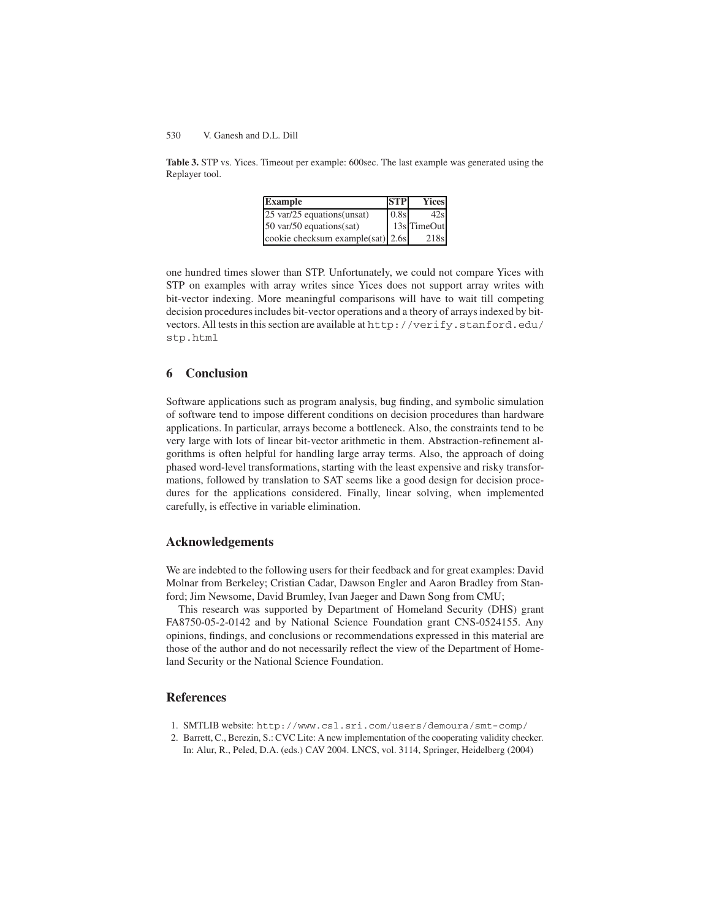**Table 3.** STP vs. Yices. Timeout per example: 600sec. The last example was generated using the Replayer tool.

| <b>Example</b>                              | <b>STP</b> | <b>Yices</b> |
|---------------------------------------------|------------|--------------|
| 25 var/25 equations (unsat)                 | 0.8s       | 42s          |
| $50 \text{ var}/50 \text{ equations}$ (sat) |            | 13s TimeOut  |
| cookie checksum example(sat) 2.6s           |            | 218s         |

one hundred times slower than STP. Unfortunately, we could not compare Yices with STP on examples with array writes since Yices does not support array writes with bit-vector indexing. More meaningful comparisons will have to wait till competing decision procedures includes bit-vector operations and a theory of arrays indexed by bitvectors. All tests in this section are available at http://verify.stanford.edu/ stp.html

# **6 Conclusion**

Software applications such as program analysis, bug finding, and symbolic simulation of software tend to impose different conditions on decision procedures than hardware applications. In particular, arrays become a bottleneck. Also, the constraints tend to be very large with lots of linear bit-vector arithmetic in them. Abstraction-refinement algorithms is often helpful for handling large array terms. Also, the approach of doing phased word-level transformations, starting with the least expensive and risky transformations, followed by translation to SAT seems like a good design for decision procedures for the applications considered. Finally, linear solving, when implemented carefully, is effective in variable elimination.

# **Acknowledgements**

We are indebted to the following users for their feedback and for great examples: David Molnar from Berkeley; Cristian Cadar, Dawson Engler and Aaron Bradley from Stanford; Jim Newsome, David Brumley, Ivan Jaeger and Dawn Song from CMU;

This research was supported by Department of Homeland Security (DHS) grant FA8750-05-2-0142 and by National Science Foundation grant CNS-0524155. Any opinions, findings, and conclusions or recommendations expressed in this material are those of the author and do not necessarily reflect the view of the Department of Homeland Security or the National Science Foundation.

# **References**

- 1. SMTLIB website: http://www.csl.sri.com/users/demoura/smt-comp/
- 2. Barrett, C., Berezin, S.: CVC Lite: A new implementation of the cooperating validity checker. In: Alur, R., Peled, D.A. (eds.) CAV 2004. LNCS, vol. 3114, Springer, Heidelberg (2004)